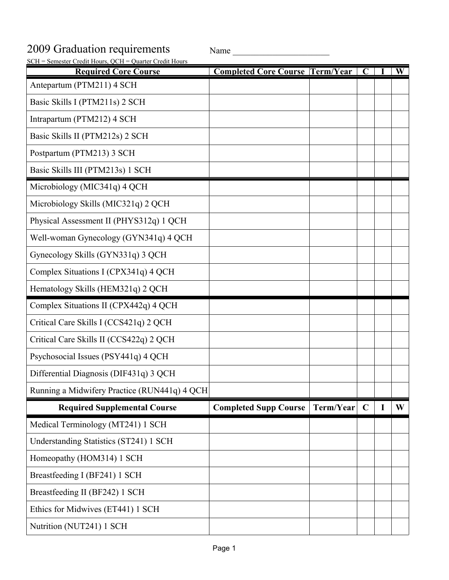## 2009 Graduation requirements Name

| SCH = Semester Credit Hours, QCH = Quarter Credit Hours |                                        |           |             |   |                         |
|---------------------------------------------------------|----------------------------------------|-----------|-------------|---|-------------------------|
| <b>Required Core Course</b>                             | <b>Completed Core Course Term/Year</b> |           | $\mathbf C$ |   | $\overline{\textbf{W}}$ |
| Antepartum (PTM211) 4 SCH                               |                                        |           |             |   |                         |
| Basic Skills I (PTM211s) 2 SCH                          |                                        |           |             |   |                         |
| Intrapartum (PTM212) 4 SCH                              |                                        |           |             |   |                         |
| Basic Skills II (PTM212s) 2 SCH                         |                                        |           |             |   |                         |
| Postpartum (PTM213) 3 SCH                               |                                        |           |             |   |                         |
| Basic Skills III (PTM213s) 1 SCH                        |                                        |           |             |   |                         |
| Microbiology (MIC341q) 4 QCH                            |                                        |           |             |   |                         |
| Microbiology Skills (MIC321q) 2 QCH                     |                                        |           |             |   |                         |
| Physical Assessment II (PHYS312q) 1 QCH                 |                                        |           |             |   |                         |
| Well-woman Gynecology (GYN341q) 4 QCH                   |                                        |           |             |   |                         |
| Gynecology Skills (GYN331q) 3 QCH                       |                                        |           |             |   |                         |
| Complex Situations I (CPX341q) 4 QCH                    |                                        |           |             |   |                         |
| Hematology Skills (HEM321q) 2 QCH                       |                                        |           |             |   |                         |
| Complex Situations II (CPX442q) 4 QCH                   |                                        |           |             |   |                         |
| Critical Care Skills I (CCS421q) 2 QCH                  |                                        |           |             |   |                         |
| Critical Care Skills II (CCS422q) 2 QCH                 |                                        |           |             |   |                         |
| Psychosocial Issues (PSY441q) 4 QCH                     |                                        |           |             |   |                         |
| Differential Diagnosis (DIF431q) 3 QCH                  |                                        |           |             |   |                         |
| Running a Midwifery Practice (RUN441q) 4 QCH            |                                        |           |             |   |                         |
| <b>Required Supplemental Course</b>                     | <b>Completed Supp Course</b>           | Term/Year | $\mathbf C$ | I | W                       |
| Medical Terminology (MT241) 1 SCH                       |                                        |           |             |   |                         |
| Understanding Statistics (ST241) 1 SCH                  |                                        |           |             |   |                         |
| Homeopathy (HOM314) 1 SCH                               |                                        |           |             |   |                         |
| Breastfeeding I (BF241) 1 SCH                           |                                        |           |             |   |                         |
| Breastfeeding II (BF242) 1 SCH                          |                                        |           |             |   |                         |
| Ethics for Midwives (ET441) 1 SCH                       |                                        |           |             |   |                         |
| Nutrition (NUT241) 1 SCH                                |                                        |           |             |   |                         |